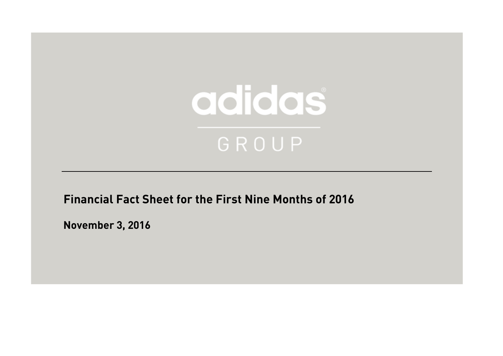

**Financial Fact Sheet for the First Nine Months of 2016**

**November 3, 2016**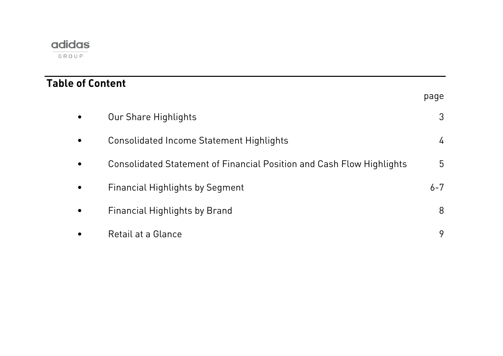| <b>Table of Content</b> |                                                                       |               |
|-------------------------|-----------------------------------------------------------------------|---------------|
|                         |                                                                       | page          |
| $\bullet$               | Our Share Highlights                                                  | 3             |
| $\bullet$               | Consolidated Income Statement Highlights                              | $\frac{1}{4}$ |
| $\bullet$               | Consolidated Statement of Financial Position and Cash Flow Highlights | 5             |
| $\bullet$               | <b>Financial Highlights by Segment</b>                                | $6 - 7$       |
| $\bullet$               | <b>Financial Highlights by Brand</b>                                  | 8             |
| $\bullet$               | Retail at a Glance                                                    | 9             |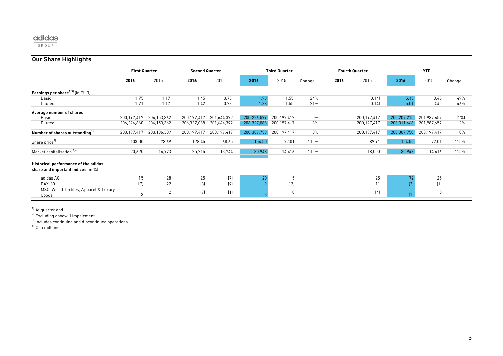GROUP

## **Our Share Highlights**

|                                                                            | <b>First Quarter</b> |                | <b>Second Quarter</b> |             |             | <b>Third Quarter</b> |        |      | <b>Fourth Quarter</b> | <b>YTD</b>  |             |         |  |
|----------------------------------------------------------------------------|----------------------|----------------|-----------------------|-------------|-------------|----------------------|--------|------|-----------------------|-------------|-------------|---------|--|
|                                                                            | 2016                 | 2015           | 2016                  | 2015        | 2016        | 2015                 | Change | 2016 | 2015                  | 2016        | 2015        | Change  |  |
| Earnings per share <sup>2131</sup> (in EUR)                                |                      |                |                       |             |             |                      |        |      |                       |             |             |         |  |
| Basic                                                                      | 1.75                 | 1.17           | 1.45                  | 0.73        | 1.93        | 1.55                 | 24%    |      | (0.14)                | 5.13        | 3.45        | 49%     |  |
| Diluted                                                                    | 1.71                 | 1.17           | 1.42                  | 0.73        | 1.88        | 1.55                 | 21%    |      | (0.14)                | 5.01        | 3.45        | 46%     |  |
| Average number of shares                                                   |                      |                |                       |             |             |                      |        |      |                       |             |             |         |  |
| Basic                                                                      | 200,197,417          | 204,153,362    | 200,197,417           | 201,644,392 | 200,226,599 | 200,197,417          | $0\%$  |      | 200,197,417           | 200,207,215 | 201,987,657 | $(1\%)$ |  |
| Diluted                                                                    | 206,294,660          | 204,153,362    | 206,327,088           | 201,644,392 | 206,327,088 | 200,197,417          | 3%     |      | 200,197,417           | 206,311,466 | 201,987,657 | 2%      |  |
| Number of shares outstanding <sup>1)</sup>                                 | 200,197,417          | 203,186,309    | 200,197,417           | 200,197,417 | 200,307,750 | 200,197,417          | $0\%$  |      | 200,197,417           | 200,307,750 | 200,197,417 | $0\%$   |  |
| Share price <sup>11</sup>                                                  | 103.00               | 73.69          | 128.45                | 68.65       | 154.50      | 72.01                | 115%   |      | 89.91                 | 154.50      | 72.01       | 115%    |  |
| Market capitalisation 14                                                   | 20,620               | 14,973         | 25,715                | 13,744      | 30,948      | 14,416               | 115%   |      | 18,000                | 30,948      | 14,416      | 115%    |  |
| Historical performance of the adidas<br>share and important indices (in %) |                      |                |                       |             |             |                      |        |      |                       |             |             |         |  |
| adidas AG                                                                  | 15                   | 28             | 25                    | (7)         | 20          | 5                    |        |      | 25                    | 72          | 25          |         |  |
| DAX-30                                                                     | (7)                  | 22             | $[3]$                 | (9)         |             | (12)                 |        |      | 11                    | (2)         | (1)         |         |  |
| MSCI World Textiles, Apparel & Luxury<br>Goods                             | 3                    | $\overline{2}$ | (7)                   | (1)         |             | 0                    |        |      | (4)                   | (1)         | $\pmb{0}$   |         |  |

<sup>1)</sup> At quarter end.

<sup>2)</sup> Excluding goodwill impairment.

 $^{3)}$  Includes continuing and discontinued operations.

 $4$ <sup>4)</sup>  $\epsilon$  in millions.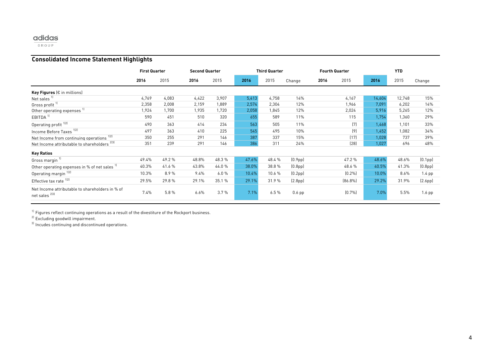$\overline{\begin{array}{c} \text{GROUP} \end{array}}$ 

## **Consolidated Income Statement Highlights**

|                                                                   | <b>First Quarter</b> |       |       | <b>Second Quarter</b> |       | <b>Third Quarter</b> |                      |      | <b>Fourth Quarter</b> | <b>YTD</b> |        |                      |  |
|-------------------------------------------------------------------|----------------------|-------|-------|-----------------------|-------|----------------------|----------------------|------|-----------------------|------------|--------|----------------------|--|
|                                                                   | 2016                 | 2015  | 2016  | 2015                  | 2016  | 2015                 | Change               | 2016 | 2015                  | 2016       | 2015   | Change               |  |
| <b>Key Figures</b> ( $\epsilon$ in millions)                      |                      |       |       |                       |       |                      |                      |      |                       |            |        |                      |  |
| Net sales <sup>11</sup>                                           | 4,769                | 4,083 | 4,422 | 3,907                 | 5,413 | 4,758                | 14%                  |      | 4,167                 | 14,604     | 12,748 | 15%                  |  |
| Gross profit <sup>11</sup>                                        | 2,358                | 2,008 | 2,159 | 1,889                 | 2,574 | 2,304                | 12%                  |      | 1,966                 | 7,091      | 6,202  | 14%                  |  |
| Other operating expenses <sup>1)</sup>                            | 1,924                | 1,700 | 1,935 | 1,720                 | 2,058 | 1,845                | 12%                  |      | 2,024                 | 5,916      | 5,265  | 12%                  |  |
| EBITDA <sup>1]</sup>                                              | 590                  | 451   | 510   | 320                   | 655   | 589                  | 11%                  |      | 115                   | 1,754      | 1,360  | 29%                  |  |
| Operating profit <sup>1121</sup>                                  | 490                  | 363   | 414   | 234                   | 563   | 505                  | 11%                  |      | (7)                   | 1,468      | 1,101  | 33%                  |  |
| Income Before Taxes <sup>1121</sup>                               | 497                  | 363   | 410   | 225                   | 545   | 495                  | 10%                  |      | (9)                   | 1,452      | 1,082  | 34%                  |  |
| Net Income from continuing operations 1121                        | 350                  | 255   | 291   | 146                   | 387   | 337                  | 15%                  |      | (17)                  | 1,028      | 737    | 39%                  |  |
| Net Income attributable to shareholders <sup>2131</sup>           | 351                  | 239   | 291   | 146                   | 386   | 311                  | 24%                  |      | [28]                  | 1,027      | 696    | 48%                  |  |
| <b>Key Ratios</b>                                                 |                      |       |       |                       |       |                      |                      |      |                       |            |        |                      |  |
| Gross margin <sup>11</sup>                                        | 49.4%                | 49.2% | 48.8% | 48.3%                 | 47.6% | 48.4%                | (0.9 <sub>pp</sub> ) |      | 47.2%                 | 48.6%      | 48.6%  | (0.1 <sub>pp</sub> ) |  |
| Other operating expenses in % of net sales 11                     | 40.3%                | 41.6% | 43.8% | 44.0%                 | 38.0% | 38.8%                | (0.8 <sub>pp</sub> ) |      | 48.6%                 | 40.5%      | 41.3%  | (0.8 <sub>pp</sub> ) |  |
| Operating margin <sup>1121</sup>                                  | 10.3%                | 8.9%  | 9.4%  | 6.0%                  | 10.4% | 10.6 %               | $[0.2$ pp $]$        |      | (0.2%                 | 10.0%      | 8.6%   | $1.4$ pp             |  |
| Effective tax rate 12)                                            | 29.5%                | 29.8% | 29.1% | 35.1 %                | 29.1% | 31.9%                | (2.8 <sub>pp</sub> ) |      | [86.8%]               | 29.2%      | 31.9%  | (2.6pp)              |  |
| Net Income attributable to shareholders in % of<br>net sales 2131 | 7.4%                 | 5.8%  | 6.6%  | 3.7%                  | 7.1%  | 6.5%                 | $0.6$ pp             |      | (0.7%                 | 7.0%       | 5.5%   | $1.6$ pp             |  |

 $^{\rm 1)}$  Figures reflect continuing operations as a result of the divestiture of the Rockport business.

<sup>2)</sup> Excluding goodwill impairment.

 $^{\text{3)}}$  Incudes continuing and discontinued operations.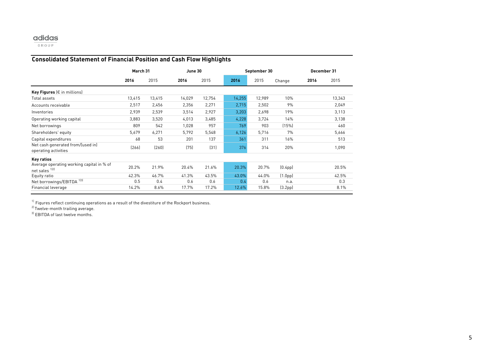GROUP

## **Consolidated Statement of Financial Position and Cash Flow Highlights**

|                                                             |        | March 31 |        | June 30 |        | September 30 |                      | December 31 |        |  |
|-------------------------------------------------------------|--------|----------|--------|---------|--------|--------------|----------------------|-------------|--------|--|
|                                                             | 2016   | 2015     | 2016   | 2015    | 2016   | 2015         | Change               | 2016        | 2015   |  |
| Key Figures ( $\epsilon$ in millions)                       |        |          |        |         |        |              |                      |             |        |  |
| Total assets                                                | 13,415 | 13,415   | 14,029 | 12,754  | 14,255 | 12,989       | 10%                  |             | 13,343 |  |
| Accounts receivable                                         | 2,517  | 2,456    | 2,356  | 2,271   | 2,715  | 2,502        | 9%                   |             | 2,049  |  |
| Inventories                                                 | 2,939  | 2,539    | 3,514  | 2,927   | 3,203  | 2,698        | 19%                  |             | 3,113  |  |
| Operating working capital                                   | 3,883  | 3,520    | 4,013  | 3,485   | 4,228  | 3,724        | 14%                  |             | 3,138  |  |
| Net borrowings                                              | 809    | 542      | 1,028  | 957     | 769    | 903          | (15%)                |             | 460    |  |
| Shareholders' equity                                        | 5,679  | 6,271    | 5,792  | 5,548   | 6,126  | 5,716        | 7%                   |             | 5,666  |  |
| Capital expenditures                                        | 68     | 53       | 201    | 137     | 361    | 311          | 16%                  |             | 513    |  |
| Net cash generated from/(used in)<br>operating activities   | [266]  | (260)    | (75)   | (31)    | 376    | 314          | 20%                  |             | 1,090  |  |
| <b>Key ratios</b>                                           |        |          |        |         |        |              |                      |             |        |  |
| Average operating working capital in % of<br>net sales 1121 | 20.2%  | 21.9%    | 20.4%  | 21.6%   | 20.3%  | 20.7%        | (0.4 <sub>pp</sub> ) |             | 20.5%  |  |
| Equity ratio                                                | 42.3%  | 46.7%    | 41.3%  | 43.5%   | 43.0%  | 44.0%        | (1.0 <sub>pp</sub> ) |             | 42.5%  |  |
| 1]3]<br>Net borrowings/EBITDA                               | 0.5    | 0.4      | 0.6    | 0.6     | 0.4    | 0.6          | n.a.                 |             | 0.3    |  |
| Financial leverage                                          | 14.2%  | 8.6%     | 17.7%  | 17.2%   | 12.6%  | 15.8%        | (3.2 <sub>pp</sub> ) |             | 8.1%   |  |

 $^{\text{\tiny{1}}}$  Figures reflect continuing operations as a result of the divestiture of the Rockport business.

<sup>2)</sup> Twelve-month trailing average.

<sup>3)</sup> EBITDA of last twelve months.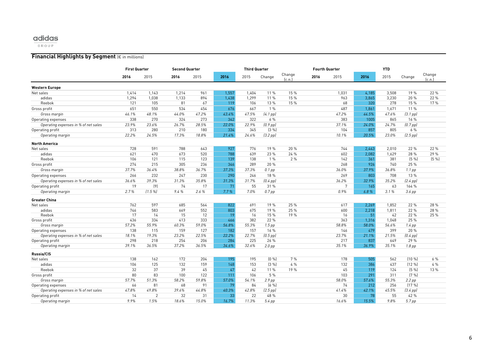$\overline{\begin{array}{c} \mathsf{GROUP} \end{array}}$ 

#### **Financial Highlights by Segment** (€ in millions)

|                                      | <b>First Quarter</b> |                | <b>Second Quarter</b> |       |       | <b>Third Quarter</b> |                   |                  |      | <b>Fourth Quarter</b> | <b>YTD</b> |       |                   |                  |
|--------------------------------------|----------------------|----------------|-----------------------|-------|-------|----------------------|-------------------|------------------|------|-----------------------|------------|-------|-------------------|------------------|
|                                      | 2016                 | 2015           | 2016                  | 2015  | 2016  | 2015                 | Change            | Change<br>[c.n.] | 2016 | 2015                  | 2016       | 2015  | Change            | Change<br>[c.n.] |
| Western Europe                       |                      |                |                       |       |       |                      |                   |                  |      |                       |            |       |                   |                  |
| Net sales                            | 1,414                | 1,143          | 1,214                 | 961   | 1,557 | 1,404                | 11 %              | 15 %             |      | 1,031                 | 4,185      | 3,508 | 19 %              | 22 %             |
| adidas                               | 1,294                | 1,038          | 1,133                 | 894   | 1,438 | 1,299                | 11 %              | 15 %             |      | 963                   | 3,865      | 3,230 | 20 %              | 22 %             |
| Reebok                               | 121                  | 105            | 81                    | 67    | 119   | 106                  | 13 %              | 15 %             |      | 68                    | 320        | 278   | 15 %              | 17%              |
| Gross profit                         | 651                  | 550            | 534                   | 454   | 676   | 667                  | 1%                |                  |      | 487                   | 1.861      | 1,671 | 11 %              |                  |
| Gross margin                         | 46.1%                | 48.1%          | 44.0%                 | 47.2% | 43.4% | 47.5%                | $(4.1$ pp $)$     |                  |      | 47.2%                 | 44.5%      | 47.6% | $(3.1$ pp $)$     |                  |
| Operating expenses                   | 338                  | 270            | 324                   | 273   | 342   | 322                  | 6%                |                  |      | 383                   | 1005       | 865   | 16 %              |                  |
| Operating expenses in % of net sales | 23.9%                | 23.6%          | 26.7%                 | 28.5% | 22.0% | 22.9%                | $(0.9$ pp $)$     |                  |      | 37.1%                 | 24.0%      | 24.7% | $(0.7$ pp $)$     |                  |
| Operating profit                     | 313                  | 280            | 210                   | 180   | 334   | 345                  | (3 %)             |                  |      | 104                   | 857        | 805   | 6%                |                  |
| Operating margin                     | 22.2%                | 24.5%          | 17.3%                 | 18.8% | 21.4% | 24.6%                | $[3.2$ pp $]$     |                  |      | 10.1%                 | 20.5%      | 23.0% | $(2.5$ pp $)$     |                  |
| <b>North America</b>                 |                      |                |                       |       |       |                      |                   |                  |      |                       |            |       |                   |                  |
| Net sales                            | 728                  | 591            | 788                   | 643   | 927   | 776                  | 19 %              | 20 %             |      | 744                   | 2,443      | 2,010 | 22 %              | 22 %             |
| adidas                               | 621                  | 470            | 673                   | 520   | 788   | 639                  | 23 %              | 24 %             |      | 602                   | 2.082      | 1.629 | 28 %              | 29 %             |
| Reebok                               | 106                  | 121            | 115                   | 123   | 139   | 138                  | 1%                | 2%               |      | 142                   | 361        | 381   | (5%               | [5%]             |
| Gross profit                         | 274                  | 215            | 305                   | 236   | 346   | 289                  | 20 %              |                  |      | 268                   | 926        | 740   | 25 %              |                  |
| Gross margin                         | 37.7%                | 36.4%          | 38.8%                 | 36.7% | 37.3% | 37.3%                | $0.1$ pp          |                  |      | 36.0%                 | 37.9%      | 36.8% | $1.1$ pp          |                  |
| Operating expenses                   | 266                  | 232            | 247                   | 230   | 290   | 246                  | 18 %              |                  |      | 269                   | 803        | 708   | 13 %              |                  |
| Operating expenses in % of net sales | 36.6%                | 39.3%          | 31.3%                 | 35.8% | 31.3% | 31.7%                | $[0.4$ pp $]$     |                  |      | 36.2%                 | 32.9%      | 35.2% | $(2.4$ pp $)$     |                  |
| Operating profit                     | 19                   | (9)            | 74                    | 17    | 71    | 55                   | 31 %              |                  |      | 7                     | 165        | 63    | 164 %             |                  |
| Operating margin                     | 2.7%                 | (1.5%          | 9.4%                  | 2.6%  | 7.7%  | 7.0%                 | $0.7$ pp          |                  |      | 0.9%                  | 6.8%       | 3.1%  | 3.6 pp            |                  |
| <b>Greater China</b>                 |                      |                |                       |       |       |                      |                   |                  |      |                       |            |       |                   |                  |
| Net sales                            | 762                  | 597            | 685                   | 564   | 822   | 691                  | 19 %              | 25 %             |      | 617                   | 2,269      | 1,852 | 22 %              | 28 %             |
| adidas                               | 746                  | 583            | 669                   | 552   | 803   | 675                  | 19 %              | 25 %             |      | 600                   | 2,218      | 1,811 | 22 %              | 28 %             |
| Reebok                               | 17                   | 14             | 15                    | 12    | 19    | 16                   | 15 %              | 19 %             |      | 16                    | 51         | 42    | 22 %              | 25 %             |
| Gross profit                         | 436                  | 334            | 413                   | 333   | 466   | 382                  | 22 %              |                  |      | 363                   | 1.316      | 1.048 | 25 %              |                  |
| Gross margin                         | 57.2%                | 55.9%          | 60.3%                 | 59.0% | 56.8% | 55.3%                | $1.5$ pp          |                  |      | 58.8%                 | 58.0%      | 56.6% | $1.4$ pp          |                  |
| Operating expenses                   | 138                  | 115            | 159                   | 127   | 182   | 157                  | 16 %              |                  |      | 146                   | 479        | 399   | 20 %              |                  |
| Operating expenses in % of net sales | 18.1%                | 19.3%          | 23.2%                 | 22.5% | 22.2% | 22.7%                | $(0.5$ pp $)$     |                  |      | 23.7%                 | 21.1%      | 21.5% | $[0.4$ pp $]$     |                  |
| Operating profit                     | 298                  | 218            | 254                   | 206   | 284   | 225                  | 26 %              |                  |      | 217                   | 837        | 649   | 29 %              |                  |
| Operating margin                     | 39.1%                | 36.5%          | 37.2%                 | 36.5% | 34.6% | 32.6%                | 2.0 <sub>pp</sub> |                  |      | 35.1%                 | 36.9%      | 35.1% | 1.8 <sub>pp</sub> |                  |
| <b>Russia/CIS</b>                    |                      |                |                       |       |       |                      |                   |                  |      |                       |            |       |                   |                  |
| Net sales                            | 138                  | 162            | 172                   | 204   | 195   | 195                  | (0 %)             | 7%               |      | 178                   | 505        | 562   | [10%]             | 6%               |
| adidas                               | 106                  | 125            | 132                   | 159   | 148   | 153                  | (3 %)             | 4%               |      | 132                   | 386        | 437   | (12 %)            | 4 %              |
| Reebok                               | 32                   | 37             | 39                    | 45    | 47    | 42                   | 11 %              | 19 %             |      | 45                    | 119        | 124   | (5%               | 13 %             |
| Gross profit                         | 80                   | 83             | 100                   | 122   | 111   | 106                  | 5 %               |                  |      | 103                   | 291        | 311   | $(79_{0})$        |                  |
| Gross margin                         | 57.7%                | 51.3%          | 58.2%                 | 59.8% | 57.0% | 54.1%                | $2.9$ pp          |                  |      | 58.0%                 | 57.6%      | 55.3% | $2.2$ pp          |                  |
| Operating expenses                   | 66                   | 81             | 68                    | 91    | 79    | 84                   | (6, 9)            |                  |      | 74                    | 212        | 256   | (17%)             |                  |
| Operating expenses in % of net sales | 47.8%                | 49.8%          | 39.6%                 | 44.8% | 40.3% | 42.8%                | $(2.5$ pp $)$     |                  |      | 41.4%                 | 42.1%      | 45.5% | $(3.4$ pp $)$     |                  |
| Operating profit                     | 14                   | $\overline{2}$ | 32                    | 31    | 33    | 22                   | 48 %              |                  |      | 30                    | 78         | 55    | 42 %              |                  |
| Operating margin                     | 9.9%                 | 1.5%           | 18.6%                 | 15.0% | 16.7% | 11.3%                | 5.4 pp            |                  |      | 16.6%                 | 15.5%      | 9.8%  | 5.7 pp            |                  |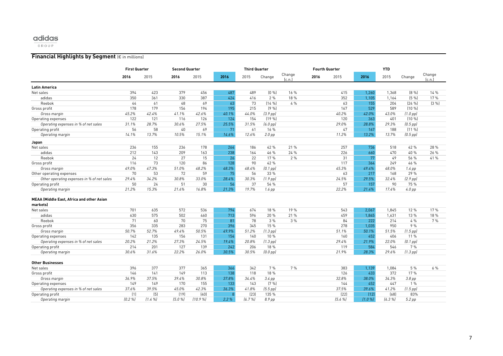$\overline{\begin{array}{c} \mathbf{GROUP} \end{array}}$ 

#### **Financial Highlights by Segment** (€ in millions)

|                                                  | <b>First Quarter</b> |       | <b>Second Quarter</b> |        |              | <b>Third Quarter</b> |               |                  |      | <b>Fourth Quarter</b> | <b>YTD</b> |       |                   |                  |
|--------------------------------------------------|----------------------|-------|-----------------------|--------|--------------|----------------------|---------------|------------------|------|-----------------------|------------|-------|-------------------|------------------|
|                                                  | 2016                 | 2015  | 2016                  | 2015   | 2016         | 2015                 | Change        | Change<br>[c.n.] | 2016 | 2015                  | 2016       | 2015  | Change            | Change<br>[c.n.] |
| <b>Latin America</b>                             |                      |       |                       |        |              |                      |               |                  |      |                       |            |       |                   |                  |
| Net sales                                        | 394                  | 423   | 379                   | 456    | 487          | 489                  | [0, 96]       | 16 %             |      | 415                   | 1,260      | 1,368 | (8%               | 14 %             |
| adidas                                           | 350                  | 361   | 330                   | 387    | 424          | 416                  | 2%            | 18 %             |      | 352                   | 1,105      | 1,164 | (5%               | 17 %             |
| Reebok                                           | 44                   | 61    | 48                    | 69     | 63           | 73                   | (14%          | 4%               |      | 63                    | 155        | 204   | [24%]             | (3 %)            |
| Gross profit                                     | 178                  | 179   | 156                   | 194    | 195          | 215                  | (9%           |                  |      | 167                   | 529        | 589   | (10 %)            |                  |
| Gross margin                                     | 45.2%                | 42.4% | 41.1%                 | 42.6%  | 40.1%        | 44.0%                | $(3.9$ pp)    |                  |      | 40.2%                 | 42.0%      | 43.0% | $(1.0$ pp $)$     |                  |
| Operating expenses                               | 122                  | 121   | 116                   | 126    | 124          | 154                  | (19%          |                  |      | 120                   | 363        | 401   | $(10\%$           |                  |
| Operating expenses in % of net sales             | 31.1%                | 28.7% | 30.6%                 | 27.5%  | 25.5%        | 31.5%                | $(6.0$ pp $)$ |                  |      | 29.0%                 | 28.8%      | 29.3% | $(0.5$ pp $)$     |                  |
| Operating profit                                 | 56                   | 58    | 40                    | 69     | 71           | 61                   | 16 %          |                  |      | 47                    | 167        | 188   | $(11 \%)$         |                  |
| Operating margin                                 | 14.1%                | 13.7% | 10.5%                 | 15.1%  | 14.6%        | 12.6%                | $2.0$ pp      |                  |      | 11.2%                 | 13.2%      | 13.7% | $(0.5$ pp $)$     |                  |
| Japan                                            |                      |       |                       |        |              |                      |               |                  |      |                       |            |       |                   |                  |
| Net sales                                        | 236                  | 155   | 236                   | 178    | 264          | 186                  | 42 %          | 21 %             |      | 257                   | 736        | 518   | 42 %              | 28 %             |
| adidas                                           | 212                  | 143   | 209                   | 163    | 238          | 164                  | 46 %          | 24 %             |      | 226                   | 660        | 470   | 40 %              | 26 %             |
| Reebok                                           | 24                   | 12    | 27                    | 15     | 26           | 22                   | 17%           | 2%               |      | 31                    | 77         | 49    | 56 %              | 41 %             |
| Gross profit                                     | 116                  | 73    | 120                   | 86     | 128          | 90                   | 42 %          |                  |      | 117                   | 364        | 249   | 46 %              |                  |
| Gross margin                                     | 49.0%                | 47.3% | 51.0%                 | 48.2%  | 48.3%        | 48.4%                | $[0.1$ pp $]$ |                  |      | 45.3%                 | 49.4%      | 48.0% | $1.4$ pp          |                  |
| Other operating expenses                         | 70                   | 53    | 72                    | 59     | 75           | 56                   | 33 %          |                  |      | 63                    | 217        | 168   | 29 %              |                  |
| Other operating expenses in % of net sales       | 29.4%                | 34.2% | 30.8%                 | 33.0%  | 28.4%        | 30.3%                | $(1.9$ pp)    |                  |      | 24.5%                 | 29.5%      | 32.4% | $(2.9$ pp $)$     |                  |
| Operating profit                                 | 50                   | 24    | 51                    | 30     | 56           | 37                   | 54 %          |                  |      | 57                    | 157        | 90    | 75 %              |                  |
| Operating margin                                 | 21.2%                | 15.3% | 21.6%                 | 16.8%  | 21.3%        | 19.7%                | $1.6$ pp      |                  |      | 22.2%                 | 21.4%      | 17.4% | $4.0$ pp          |                  |
| <b>MEAA (Middle East, Africa and other Asian</b> |                      |       |                       |        |              |                      |               |                  |      |                       |            |       |                   |                  |
| markets)                                         |                      |       |                       |        |              |                      |               |                  |      |                       |            |       |                   |                  |
| Net sales                                        | 701                  | 635   | 572                   | 536    | 794          | 674                  | 18 %          | 19%              |      | 543                   | 2.067      | 1.845 | 12 %              | 17 %             |
| adidas                                           | 630                  | 575   | 502                   | 460    | 713          | 596                  | 20 %          | 21 %             |      | 459                   | 1.845      | 1,631 | 13 %              | 18 %             |
| Reebok                                           | 71                   | 60    | 70                    | 75     | 81           | 78                   | 3%            | 3%               |      | 84                    | 222        | 214   | 4%                | 7%               |
| Gross profit                                     | 356                  | 335   | 283                   | 270    | 396          | 345                  | 15 %          |                  |      | 278                   | 1.035      | 950   | 9%                |                  |
| Gross margin                                     | 50.7%                | 52.7% | 49.4%                 | 50.5%  | 49.9%        | 51.2%                | $(1.3$ pp $)$ |                  |      | 51.1%                 | 50.1%      | 51.5% | $(1.5$ pp $)$     |                  |
| Operating expenses                               | 142                  | 135   | 156                   | 131    | 154          | 140                  | 10 %          |                  |      | 160                   | 452        | 406   | 11 %              |                  |
| Operating expenses in % of net sales             | 20.2%                | 21.2% | 27.3%                 | 24.5%  | 19.4%        | 20.8%                | $(1.3$ pp $)$ |                  |      | 29.4%                 | 21.9%      | 22.0% | $[0.1$ pp $]$     |                  |
| Operating profit                                 | 214                  | 201   | 127                   | 139    | 242          | 206                  | 18 %          |                  |      | 119                   | 584        | 546   | 7%                |                  |
| Operating margin                                 | 30.6%                | 31.6% | 22.2%                 | 26.0%  | 30.5%        | 30.5%                | $(0.0$ pp)    |                  |      | 21.9%                 | 28.3%      | 29.6% | $(1.3$ pp $)$     |                  |
| <b>Other Businesses</b>                          |                      |       |                       |        |              |                      |               |                  |      |                       |            |       |                   |                  |
| Net sales                                        | 396                  | 377   | 377                   | 365    | 366          | 342                  | 7%            | 7 %              |      | 383                   | 1,139      | 1,084 | 5 %               | 6 %              |
| Gross profit                                     | 146                  | 141   | 149                   | 113    | 138          | 118                  | 18 %          |                  |      | 126                   | 433        | 372   | 17%               |                  |
| Gross margin                                     | 36.9%                | 37.5% | 39.4%                 | 30.8%  | 37.8%        | 34.4%                | $3.4$ pp      |                  |      | 32.8%                 | 38.0%      | 34.3% | 3.8 <sub>pp</sub> |                  |
| Operating expenses                               | 149                  | 149   | 170                   | 155    | 133          | 143                  | $(79_{0})$    |                  |      | 144                   | 452        | 447   | 1%                |                  |
| Operating expenses in % of net sales             | 37.6%                | 39.5% | 45.0%                 | 42.3%  | 36.3%        | 41.8%                | $(5.5$ pp $)$ |                  |      | 37.5%                 | 39.6%      | 41.2% | $(1.5$ pp $)$     |                  |
| Operating profit                                 | (1)                  | (5)   | (19)                  | (40)   | $\mathsf{R}$ | [23]                 | 135 %         |                  |      | (22)                  | (12)       | (68)  | 83%               |                  |
| Operating margin                                 | [0.2%]               | (1.4% | (5.0%                 | (10.9% | 2.2%         | (6.7%                | 8.9 pp        |                  |      | (5.6 %)               | (1.0%      | (6.3% | 5.2 pp            |                  |
|                                                  |                      |       |                       |        |              |                      |               |                  |      |                       |            |       |                   |                  |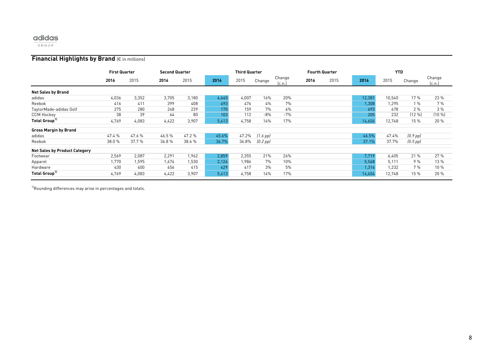$\overline{G \ R \ 0 \ U \ P}$ 

#### **Financial Highlights by Brand** (€ in millions)

|                                      | <b>First Quarter</b> |        |       | <b>Second Quarter</b> |       | <b>Third Quarter</b> |               |                 |      | <b>Fourth Quarter</b> |        | <b>YTD</b> |               |                  |
|--------------------------------------|----------------------|--------|-------|-----------------------|-------|----------------------|---------------|-----------------|------|-----------------------|--------|------------|---------------|------------------|
|                                      | 2016                 | 2015   | 2016  | 2015                  | 2016  | 2015                 | Change        | Change<br>[c.n. | 2016 | 2015                  | 2016   | 2015       | Change        | Change<br>[c.n.] |
| <b>Net Sales by Brand</b>            |                      |        |       |                       |       |                      |               |                 |      |                       |        |            |               |                  |
| adidas                               | 4,036                | 3,352  | 3,705 | 3,180                 | 4,640 | 4,007                | 16%           | 20%             |      |                       | 12,381 | 10,540     | 17 %          | 23 %             |
| Reebok                               | 416                  | 411    | 399   | 408                   | 493   | 476                  | 4%            | 7%              |      |                       | 1,308  | 1.295      | 1%            | 7%               |
| TaylorMade-adidas Golf               | 275                  | 280    | 248   | 239                   | 170   | 159                  | 7%            | 6%              |      |                       | 693    | 678        | 2%            | 3%               |
| <b>CCM Hockey</b>                    | 38                   | 39     | 64    | 80                    | 103   | 112                  | $-8%$         | $-7%$           |      |                       | 205    | 232        | (12 %)        | (10 %)           |
| Total Group <sup>11</sup>            | 4,769                | 4,083  | 4,422 | 3,907                 | 5,413 | 4,758                | 14%           | 17%             |      |                       | 14,604 | 12,748     | 15 %          | 20 %             |
| <b>Gross Margin by Brand</b>         |                      |        |       |                       |       |                      |               |                 |      |                       |        |            |               |                  |
| adidas                               | 47.4%                | 47.6%  | 46.5% | 47.2%                 | 45.6% | 47.2%                | [1.6 pp]      |                 |      |                       | 46.5%  | 47.4%      | $(0.9$ pp $)$ |                  |
| Reebok                               | 38.0%                | 37.7 % | 36.8% | 38.6 %                | 36.7% | 36.8%                | $[0.2$ pp $]$ |                 |      |                       | 37.1%  | 37.7%      | $(0.5$ pp $)$ |                  |
| <b>Net Sales by Product Category</b> |                      |        |       |                       |       |                      |               |                 |      |                       |        |            |               |                  |
| Footwear                             | 2,569                | 2,087  | 2,291 | 1,962                 | 2,859 | 2,355                | 21%           | 26%             |      |                       | 7,719  | 6,405      | 21%           | 27%              |
| Apparel                              | 1,770                | 1,595  | 1,674 | 1,530                 | 2,124 | 1,986                | 7%            | 10%             |      |                       | 5,568  | 5,111      | 9%            | 13 %             |
| Hardware                             | 430                  | 400    | 456   | 415                   | 429   | 417                  | 3%            | 5%              |      |                       | 1,316  | 1,232      | 7%            | 10 %             |
| Total Group <sup>11</sup>            | 4,769                | 4,083  | 4,422 | 3,907                 | 5,413 | 4,758                | 14%           | 17%             |      |                       | 14,604 | 12,748     | 15 %          | 20 %             |

 $^{11}$ Rounding differences may arise in percentages and totals.